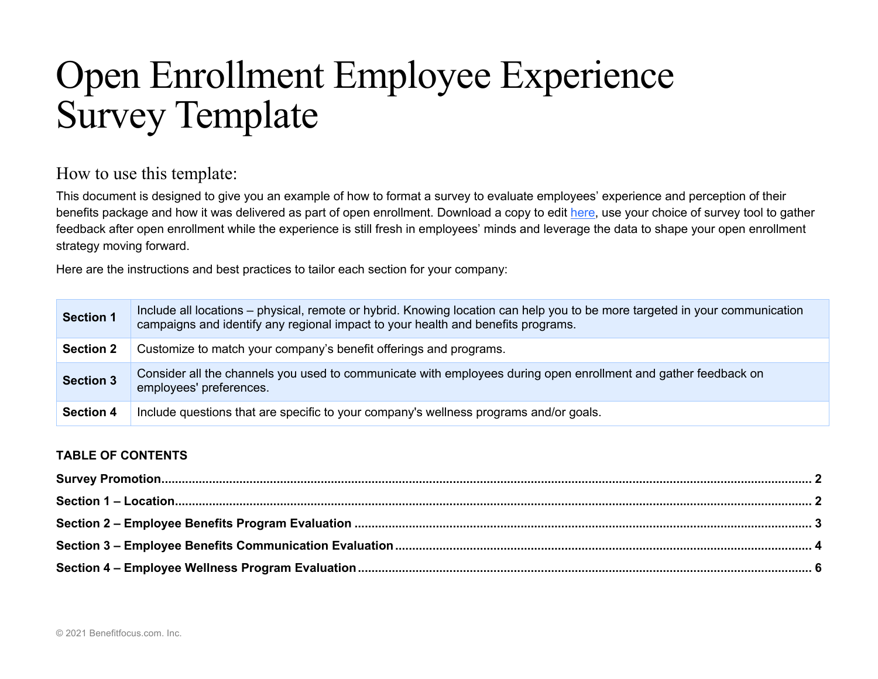# Open Enrollment Employee Experience Survey Template

# How to use this template:

This document is designed to give you an example of how to format a survey to evaluate employees' experience and perception of their benefits package and how it was delivered as part of open enrollment. Download a copy to edit here, use your choice of survey tool to gather feedback after open enrollment while the experience is still fresh in employees' minds and leverage the data to shape your open enrollment strategy moving forward.

Here are the instructions and best practices to tailor each section for your company:

| <b>Section 1</b> | Include all locations – physical, remote or hybrid. Knowing location can help you to be more targeted in your communication<br>campaigns and identify any regional impact to your health and benefits programs. |
|------------------|-----------------------------------------------------------------------------------------------------------------------------------------------------------------------------------------------------------------|
| <b>Section 2</b> | Customize to match your company's benefit offerings and programs.                                                                                                                                               |
| <b>Section 3</b> | Consider all the channels you used to communicate with employees during open enrollment and gather feedback on<br>employees' preferences.                                                                       |
| <b>Section 4</b> | Include questions that are specific to your company's wellness programs and/or goals.                                                                                                                           |

### **TABLE OF CONTENTS**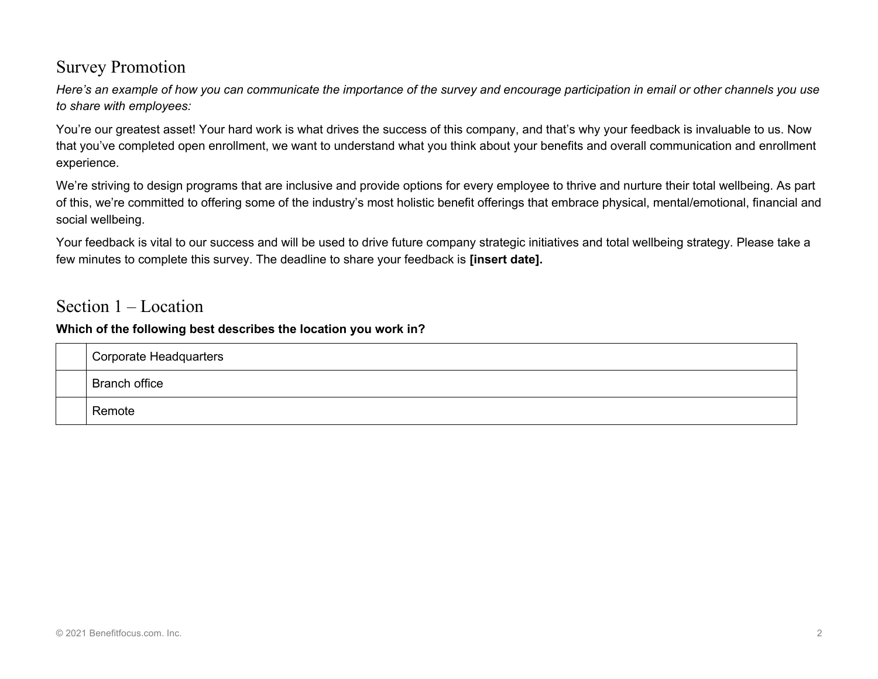# Survey Promotion

*Here's an example of how you can communicate the importance of the survey and encourage participation in email or other channels you use to share with employees:*

You're our greatest asset! Your hard work is what drives the success of this company, and that's why your feedback is invaluable to us. Now that you've completed open enrollment, we want to understand what you think about your benefits and overall communication and enrollment experience.

We're striving to design programs that are inclusive and provide options for every employee to thrive and nurture their total wellbeing. As part of this, we're committed to offering some of the industry's most holistic benefit offerings that embrace physical, mental/emotional, financial and social wellbeing.

Your feedback is vital to our success and will be used to drive future company strategic initiatives and total wellbeing strategy. Please take a few minutes to complete this survey. The deadline to share your feedback is **[insert date].**

# Section 1 – Location

### **Which of the following best describes the location you work in?**

| <b>Corporate Headquarters</b> |
|-------------------------------|
| <b>Branch office</b>          |
| Remote                        |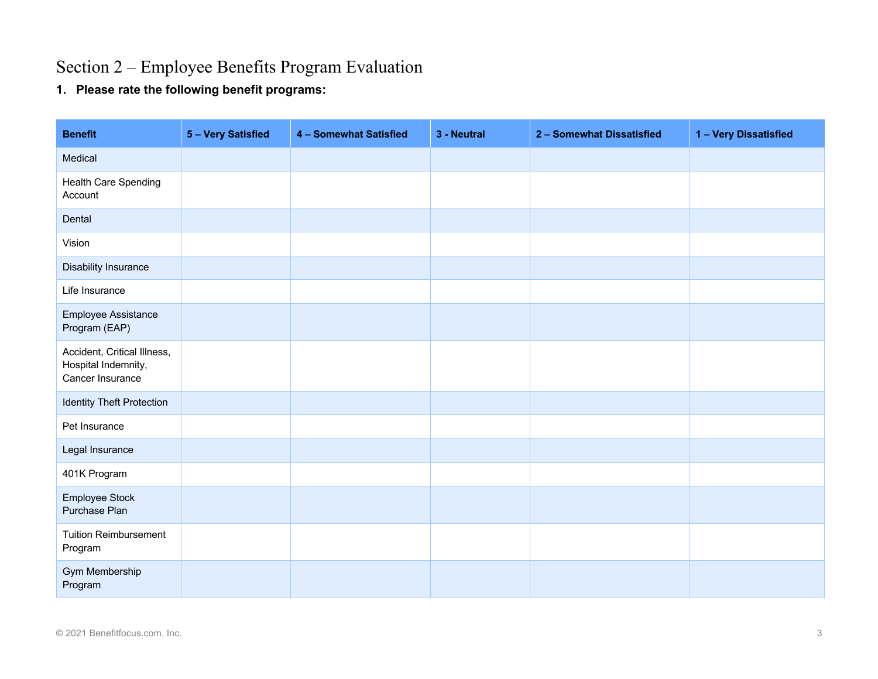# Section 2 – Employee Benefits Program Evaluation

**1. Please rate the following benefit programs:**

| <b>Benefit</b>                                                         | 5 - Very Satisfied | 4 - Somewhat Satisfied | 3 - Neutral | 2 - Somewhat Dissatisfied | 1 - Very Dissatisfied |
|------------------------------------------------------------------------|--------------------|------------------------|-------------|---------------------------|-----------------------|
| Medical                                                                |                    |                        |             |                           |                       |
| Health Care Spending<br>Account                                        |                    |                        |             |                           |                       |
| Dental                                                                 |                    |                        |             |                           |                       |
| Vision                                                                 |                    |                        |             |                           |                       |
| <b>Disability Insurance</b>                                            |                    |                        |             |                           |                       |
| Life Insurance                                                         |                    |                        |             |                           |                       |
| Employee Assistance<br>Program (EAP)                                   |                    |                        |             |                           |                       |
| Accident, Critical Illness,<br>Hospital Indemnity,<br>Cancer Insurance |                    |                        |             |                           |                       |
| <b>Identity Theft Protection</b>                                       |                    |                        |             |                           |                       |
| Pet Insurance                                                          |                    |                        |             |                           |                       |
| Legal Insurance                                                        |                    |                        |             |                           |                       |
| 401K Program                                                           |                    |                        |             |                           |                       |
| Employee Stock<br>Purchase Plan                                        |                    |                        |             |                           |                       |
| <b>Tuition Reimbursement</b><br>Program                                |                    |                        |             |                           |                       |
| Gym Membership<br>Program                                              |                    |                        |             |                           |                       |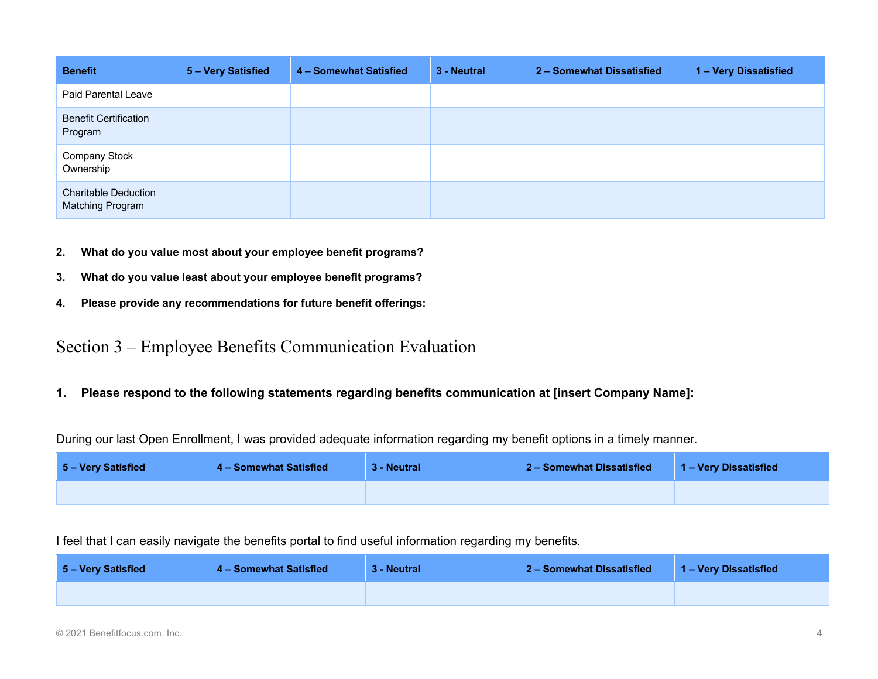| <b>Benefit</b>                                  | 5 - Very Satisfied | 4 - Somewhat Satisfied | 3 - Neutral | 2 - Somewhat Dissatisfied | 1 - Very Dissatisfied |
|-------------------------------------------------|--------------------|------------------------|-------------|---------------------------|-----------------------|
| Paid Parental Leave                             |                    |                        |             |                           |                       |
| <b>Benefit Certification</b><br>Program         |                    |                        |             |                           |                       |
| <b>Company Stock</b><br>Ownership               |                    |                        |             |                           |                       |
| <b>Charitable Deduction</b><br>Matching Program |                    |                        |             |                           |                       |

- **2. What do you value most about your employee benefit programs?**
- **3. What do you value least about your employee benefit programs?**
- **4. Please provide any recommendations for future benefit offerings:**

# Section 3 – Employee Benefits Communication Evaluation

**1. Please respond to the following statements regarding benefits communication at [insert Company Name]:**

During our last Open Enrollment, I was provided adequate information regarding my benefit options in a timely manner.

| 5 – Very Satisfied | 4 – Somewhat Satisfied | 3 - Neutral | 2 - Somewhat Dissatisfied | 1 – Very Dissatisfied |
|--------------------|------------------------|-------------|---------------------------|-----------------------|
|                    |                        |             |                           |                       |

I feel that I can easily navigate the benefits portal to find useful information regarding my benefits.

| 5 - Very Satisfied | 4 - Somewhat Satisfied | 3 - Neutral | 2 - Somewhat Dissatisfied | 1 – Very Dissatisfied |
|--------------------|------------------------|-------------|---------------------------|-----------------------|
|                    |                        |             |                           |                       |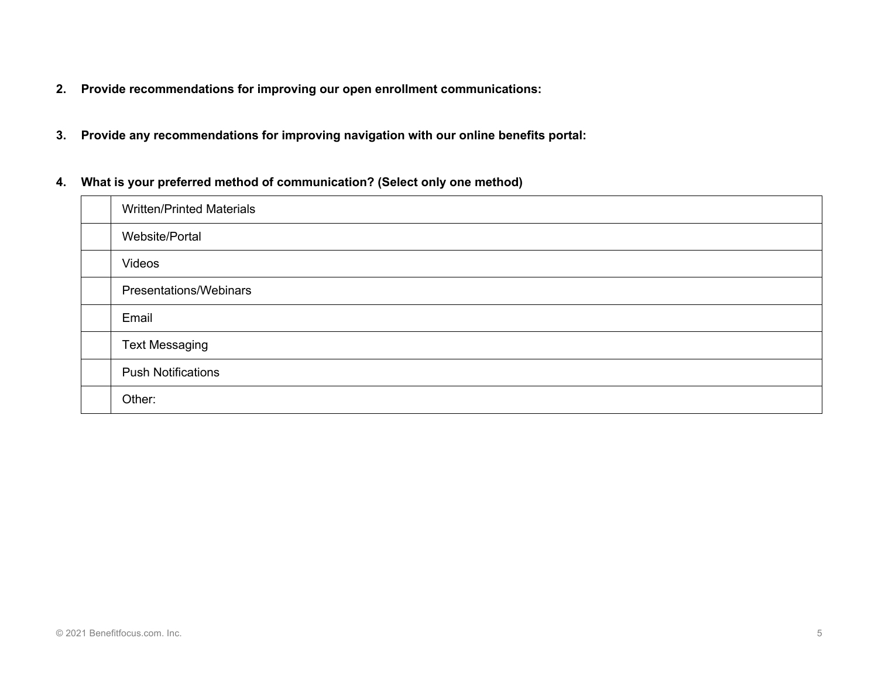- **2. Provide recommendations for improving our open enrollment communications:**
- **3. Provide any recommendations for improving navigation with our online benefits portal:**
- **4. What is your preferred method of communication? (Select only one method)**

| <b>Written/Printed Materials</b> |
|----------------------------------|
| Website/Portal                   |
| Videos                           |
| Presentations/Webinars           |
| Email                            |
| <b>Text Messaging</b>            |
| <b>Push Notifications</b>        |
| Other:                           |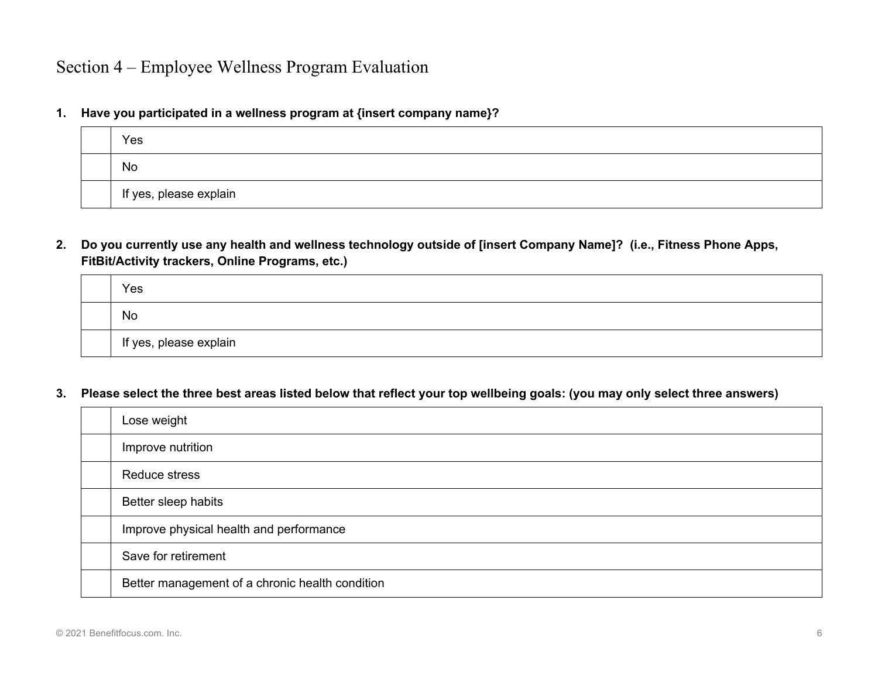**1. Have you participated in a wellness program at {insert company name}?**

| Yes                    |
|------------------------|
| No                     |
| If yes, please explain |

**2. Do you currently use any health and wellness technology outside of [insert Company Name]? (i.e., Fitness Phone Apps, FitBit/Activity trackers, Online Programs, etc.)**

| Yes                    |
|------------------------|
| No                     |
| If yes, please explain |

#### **3. Please select the three best areas listed below that reflect your top wellbeing goals: (you may only select three answers)**

| Lose weight                                     |
|-------------------------------------------------|
| Improve nutrition                               |
| <b>Reduce stress</b>                            |
| Better sleep habits                             |
| Improve physical health and performance         |
| Save for retirement                             |
| Better management of a chronic health condition |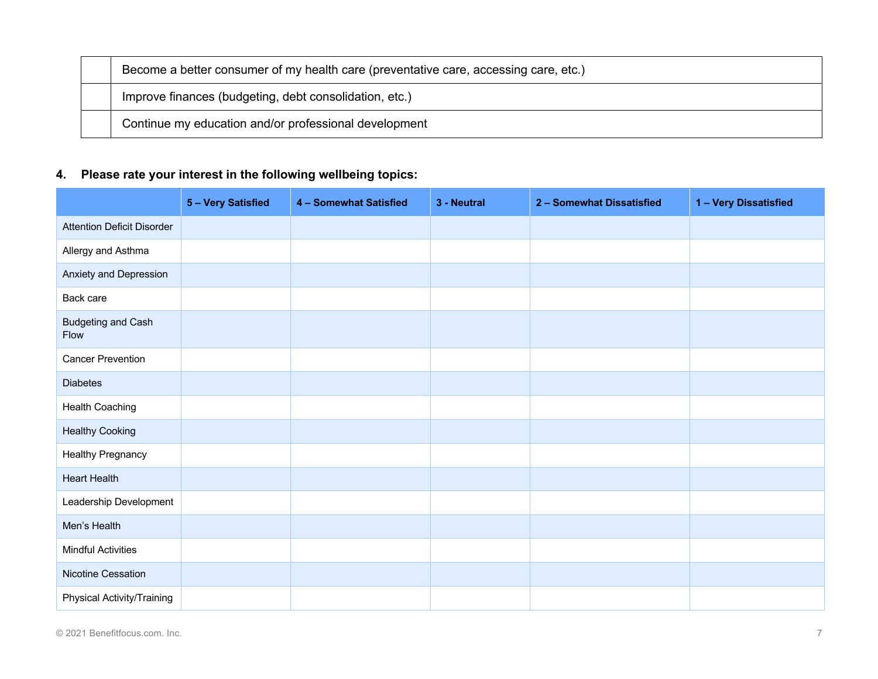| Become a better consumer of my health care (preventative care, accessing care, etc.) |
|--------------------------------------------------------------------------------------|
| Improve finances (budgeting, debt consolidation, etc.)                               |
| Continue my education and/or professional development                                |

# **4. Please rate your interest in the following wellbeing topics:**

|                                   | 5 - Very Satisfied | 4 - Somewhat Satisfied | 3 - Neutral | 2 - Somewhat Dissatisfied | 1 - Very Dissatisfied |
|-----------------------------------|--------------------|------------------------|-------------|---------------------------|-----------------------|
| <b>Attention Deficit Disorder</b> |                    |                        |             |                           |                       |
| Allergy and Asthma                |                    |                        |             |                           |                       |
| Anxiety and Depression            |                    |                        |             |                           |                       |
| Back care                         |                    |                        |             |                           |                       |
| Budgeting and Cash<br>Flow        |                    |                        |             |                           |                       |
| <b>Cancer Prevention</b>          |                    |                        |             |                           |                       |
| <b>Diabetes</b>                   |                    |                        |             |                           |                       |
| <b>Health Coaching</b>            |                    |                        |             |                           |                       |
| <b>Healthy Cooking</b>            |                    |                        |             |                           |                       |
| <b>Healthy Pregnancy</b>          |                    |                        |             |                           |                       |
| <b>Heart Health</b>               |                    |                        |             |                           |                       |
| Leadership Development            |                    |                        |             |                           |                       |
| Men's Health                      |                    |                        |             |                           |                       |
| <b>Mindful Activities</b>         |                    |                        |             |                           |                       |
| Nicotine Cessation                |                    |                        |             |                           |                       |
| Physical Activity/Training        |                    |                        |             |                           |                       |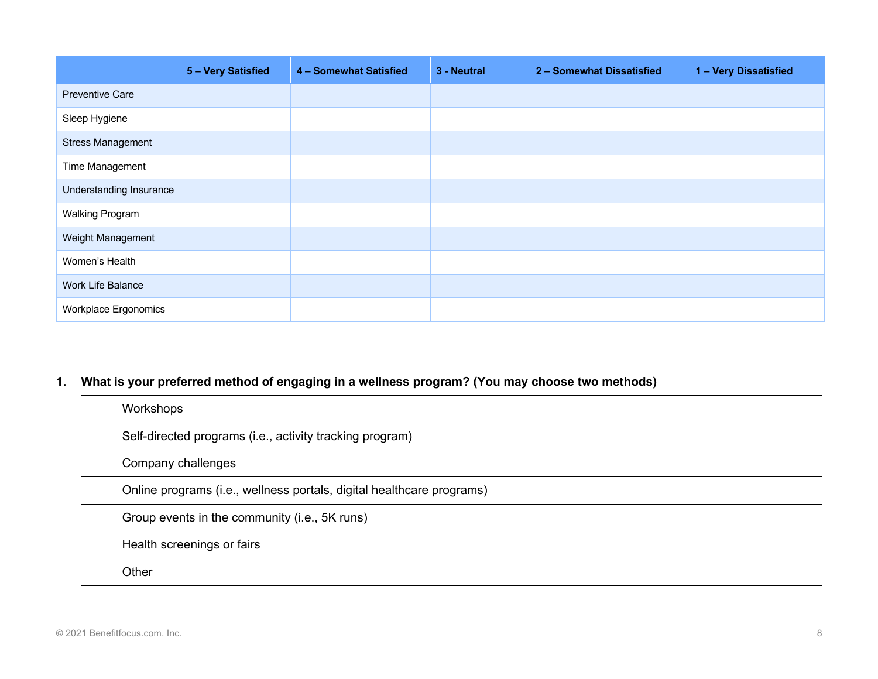|                          | 5 - Very Satisfied | 4 - Somewhat Satisfied | 3 - Neutral | 2 - Somewhat Dissatisfied | 1 - Very Dissatisfied |
|--------------------------|--------------------|------------------------|-------------|---------------------------|-----------------------|
| <b>Preventive Care</b>   |                    |                        |             |                           |                       |
| Sleep Hygiene            |                    |                        |             |                           |                       |
| <b>Stress Management</b> |                    |                        |             |                           |                       |
| Time Management          |                    |                        |             |                           |                       |
| Understanding Insurance  |                    |                        |             |                           |                       |
| <b>Walking Program</b>   |                    |                        |             |                           |                       |
| Weight Management        |                    |                        |             |                           |                       |
| Women's Health           |                    |                        |             |                           |                       |
| Work Life Balance        |                    |                        |             |                           |                       |
| Workplace Ergonomics     |                    |                        |             |                           |                       |

# **1. What is your preferred method of engaging in a wellness program? (You may choose two methods)**

| Workshops                                                             |
|-----------------------------------------------------------------------|
| Self-directed programs (i.e., activity tracking program)              |
| Company challenges                                                    |
| Online programs (i.e., wellness portals, digital healthcare programs) |
| Group events in the community (i.e., 5K runs)                         |
| Health screenings or fairs                                            |
| Other                                                                 |